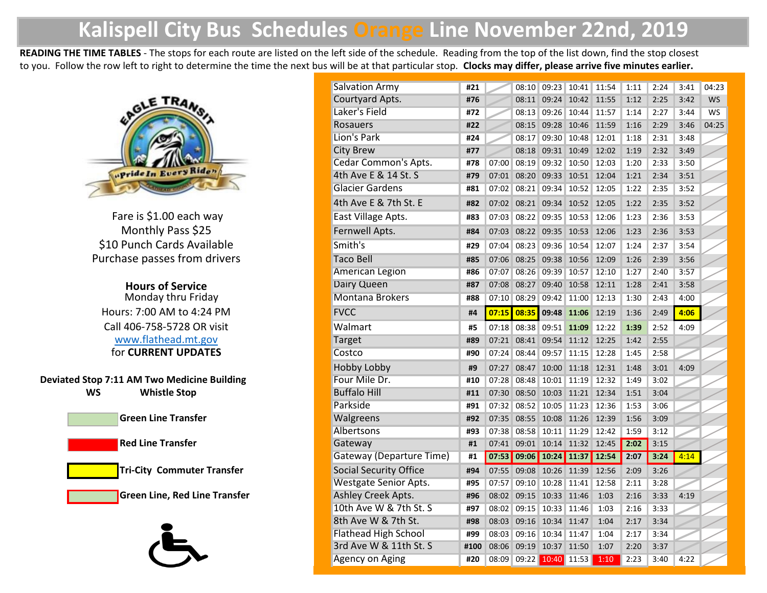## **Kalispell City Bus Schedules Orange Line November 22nd, 2019**

**READING THE TIME TABLES** - The stops for each route are listed on the left side of the schedule. Reading from the top of the list down, find the stop closest to you. Follow the row left to right to determine the time the next bus will be at that particular stop. **Clocks may differ, please arrive five minutes earlier.**



Purchase passes from drivers \$10 Punch Cards Available Fare is \$1.00 each way Monthly Pass \$25

**Hours of Service** Monday thru Friday Hours: 7:00 AM to 4:24 PM [Ca](http://www.flathead.mt.gov/)ll 406-758-5728 OR visit www.flathead.mt.gov for **CURRENT UPDATES**

**Deviated Stop 7:11 AM Two Medicine Building Whistle Stop**